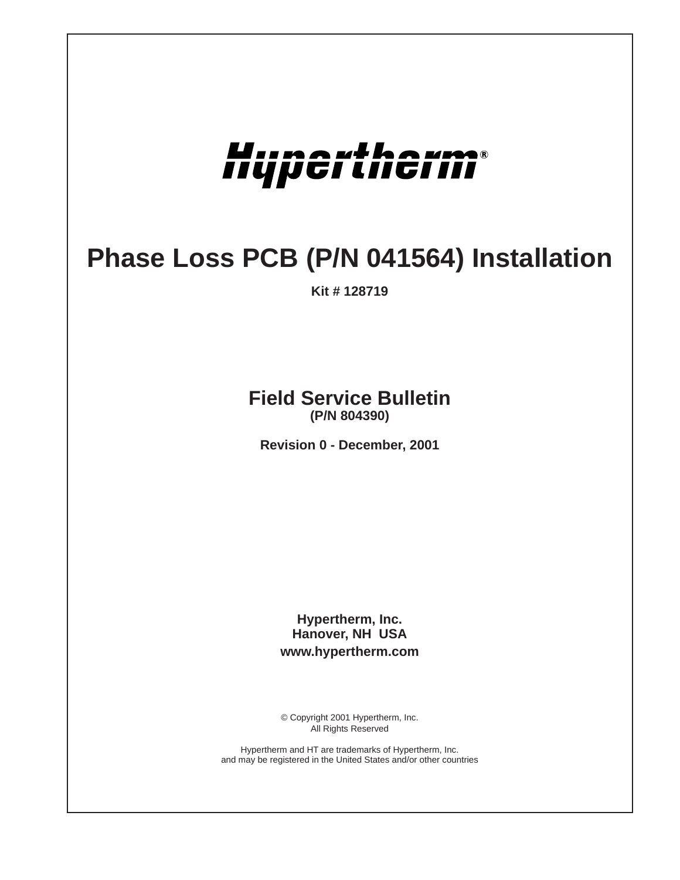

## **Phase Loss PCB (P/N 041564) Installation**

**Kit # 128719**

## **Field Service Bulletin (P/N 804390)**

**Revision 0 - December, 2001**

**Hypertherm, Inc. Hanover, NH USA www.hypertherm.com**

© Copyright 2001 Hypertherm, Inc. All Rights Reserved

Hypertherm and HT are trademarks of Hypertherm, Inc. and may be registered in the United States and/or other countries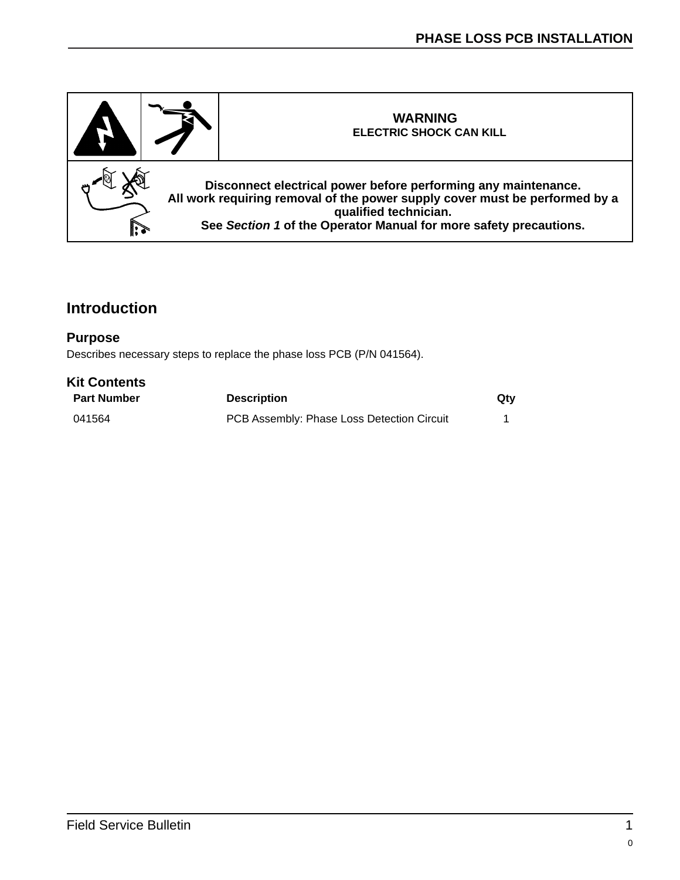

## **Introduction**

## **Purpose**

Describes necessary steps to replace the phase loss PCB (P/N 041564).

| <b>Kit Contents</b> |                                            |     |
|---------------------|--------------------------------------------|-----|
| <b>Part Number</b>  | <b>Description</b>                         | Qtv |
| 041564              | PCB Assembly: Phase Loss Detection Circuit |     |